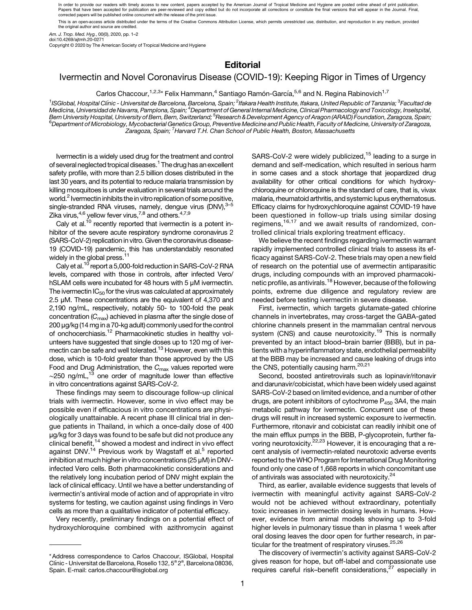In order to provide our readers with timely access to new content, papers accepted by the American Journal of Tropical Medicine and Hygiene are posted online ahead of print publication. Papers that have been accepted for publication are peer-reviewed and copy edited but do not incorporate all corrections or constitute the final versions that will appear in the Journal. Final,<br>corrected papers will be publ

This is an open-access article distributed under the terms of the Creative Commons Attribution License, which permits unrestricted use, distribution, and reproduction in any medium, provided the original author and source are credited.

Am. J. Trop. Med. Hyg., 00(0), 2020, pp. 1–2

doi:10.4269/ajtmh.20-0271

Copyright © 2020 by The American Society of Tropical Medicine and Hygiene

## **Editorial**

## Ivermectin and Novel Coronavirus Disease (COVID-19): Keeping Rigor in Times of Urgency

Carlos Chaccour,<sup>1,2,3</sup>\* Felix Hammann,<sup>4</sup> Santiago Ramón-García,<sup>5,6</sup> and N. Regina Rabinovich<sup>1,7</sup>

<sup>1</sup>ISGlobal, Hospital Clínic - Universitat de Barcelona, Barcelona, Spain; <sup>2</sup>Ifakara Health Institute, Ifakara, United Republic of Tanzania; <sup>3</sup>Facultad de Medicina, Universidad de Navarra, Pamplona, Spain; <sup>4</sup>Department of General Internal Medicine, Clinical Pharmacology and Toxicology, Inselspital, Bern University Hospital, University of Bern, Bern, Switzerland; <sup>5</sup>Research & Development Agency of Aragon (ARAID) Foundation, Zaragoza, Spain;<br><sup>6</sup>Department of Microbiology, Mycobacterial Genetics Group, Preventive Medic <sup>6</sup>Department of Microbiology, Mycobacterial Genetics Group, Preventive Medicine and Public Health, Faculty of Medicine, University of Zaragoza, .<br>Zaragoza, Spain; <sup>7</sup>Harvard T.H. Chan School of Public Health, Boston, Massachusetts

Ivermectin is a widely used drug for the treatment and control of several neglected tropical diseases.<sup>1</sup> The drug has an excellent safety profile, with more than 2.5 billion doses distributed in the last 30 years, and its potential to reduce malaria transmission by killing mosquitoes is under evaluation in several trials around the world.<sup>2</sup> Ivermectin inhibits the in vitro replication of some positive, single-stranded RNA viruses, namely, dengue virus (DNV), 3-[5](#page-1-0) Zika virus, $^{4,6}$  yellow fever virus, $^{7,8}$  $^{7,8}$  $^{7,8}$  and others. $^{4,7,9}$ 

Caly et al.<sup>10</sup> recently reported that ivermectin is a potent inhibitor of the severe acute respiratory syndrome coronavirus 2 (SARS-CoV-2) replication in vitro. Given the coronavirus disease-19 (COVID-19) pandemic, this has understandably resonated widely in the global press.<sup>11</sup>

Caly et al.[10](#page-1-0) report a 5,000-fold reduction in SARS-CoV-2 RNA levels, compared with those in controls, after infected Vero/ hSLAM cells were incubated for 48 hours with 5 μM ivermectin. The ivermectin  $IC_{50}$  for the virus was calculated at approximately 2.5 μM. These concentrations are the equivalent of 4,370 and 2,190 ng/mL, respectively, notably 50- to 100-fold the peak concentration  $(C_{\text{max}})$  achieved in plasma after the single dose of 200 μg/kg (14 mg in a 70-kg adult) commonly used for the control of onchocerchiasis.[12](#page-1-0) Pharmacokinetic studies in healthy volunteers have suggested that single doses up to 120 mg of iver-mectin can be safe and well tolerated.<sup>[13](#page-1-0)</sup> However, even with this dose, which is 10-fold greater than those approved by the US Food and Drug Administration, the  $C_{\text{max}}$  values reported were  $\sim$ 250 ng/mL,<sup>13</sup> one order of magnitude lower than effective in vitro concentrations against SARS-CoV-2.

These findings may seem to discourage follow-up clinical trials with ivermectin. However, some in vivo effect may be possible even if efficacious in vitro concentrations are physiologically unattainable. A recent phase III clinical trial in dengue patients in Thailand, in which a once-daily dose of 400 μg/kg for 3 days was found to be safe but did not produce any clinical benefit,[14](#page-1-0) showed a modest and indirect in vivo effect against DNV.<sup>[14](#page-1-0)</sup> Previous work by Wagstaff et al.<sup>[5](#page-1-0)</sup> reported inhibition at much higher in vitro concentrations (25 μM) in DNVinfected Vero cells. Both pharmacokinetic considerations and the relatively long incubation period of DNV might explain the lack of clinical efficacy. Until we have a better understanding of ivermectin's antiviral mode of action and of appropriate in vitro systems for testing, we caution against using findings in Vero cells as more than a qualitative indicator of potential efficacy.

Very recently, preliminary findings on a potential effect of hydroxychloroquine combined with azithromycin against SARS-CoV-2 were widely publicized,<sup>[15](#page-1-0)</sup> leading to a surge in demand and self-medication, which resulted in serious harm in some cases and a stock shortage that jeopardized drug availability for other critical conditions for which hydroxychloroquine or chloroquine is the standard of care, that is, vivax malaria, rheumatoid arthritis, and systemic lupus erythematosus. Efficacy claims for hydroxychloroquine against COVID-19 have been questioned in follow-up trials using similar dosing regimens,[16,17](#page-1-0) and we await results of randomized, controlled clinical trials exploring treatment efficacy.

We believe the recent findings regarding ivermectin warrant rapidly implemented controlled clinical trials to assess its efficacy against SARS-CoV-2. These trials may open a new field of research on the potential use of avermectin antiparasitic drugs, including compounds with an improved pharmacoki-netic profile, as antivirals.<sup>[18](#page-1-0)</sup> However, because of the following points, extreme due diligence and regulatory review are needed before testing ivermectin in severe disease.

First, ivermectin, which targets glutamate-gated chlorine channels in invertebrates, may cross-target the GABA-gated chlorine channels present in the mammalian central nervous system (CNS) and cause neurotoxicity.<sup>[19](#page-1-0)</sup> This is normally prevented by an intact blood–brain barrier (BBB), but in patients with a hyperinflammatory state, endothelial permeability at the BBB may be increased and cause leaking of drugs into the CNS, potentially causing harm.<sup>[20,21](#page-1-0)</sup>

Second, boosted antiretrovirals such as lopinavir/ritonavir and darunavir/cobicistat, which have been widely used against SARS-CoV-2 based on limited evidence, and a number of other drugs, are potent inhibitors of cytochrome  $P_{450}$  3A4, the main metabolic pathway for ivermectin. Concurrent use of these drugs will result in increased systemic exposure to ivermectin. Furthermore, ritonavir and cobicistat can readily inhibit one of the main efflux pumps in the BBB, P-glycoprotein, further favoring neurotoxicity.<sup>22,23</sup> However, it is encouraging that a recent analysis of ivermectin-related neurotoxic adverse events reported to the WHO Program for International Drug Monitoring found only one case of 1,668 reports in which concomitant use of antivirals was associated with neurotoxicity.<sup>[24](#page-1-0)</sup>

Third, as earlier, available evidence suggests that levels of ivermectin with meaningful activity against SARS-CoV-2 would not be achieved without extraordinary, potentially toxic increases in ivermectin dosing levels in humans. However, evidence from animal models showing up to 3-fold higher levels in pulmonary tissue than in plasma 1 week after oral dosing leaves the door open for further research, in particular for the treatment of respiratory viruses.<sup>25,26</sup>

The discovery of ivermectin's activity against SARS-CoV-2 gives reason for hope, but off-label and compassionate use requires careful risk–benefit considerations, $27$  especially in

<sup>\*</sup> Address correspondence to Carlos Chaccour, ISGlobal, Hospital Clínic - Universitat de Barcelona, Rosello 132, 5<sup>a</sup> 2<sup>a</sup>, Barcelona 08036, Spain. E-mail: [carlos.chaccour@isglobal.org](mailto:carlos.chaccour@isglobal.org)